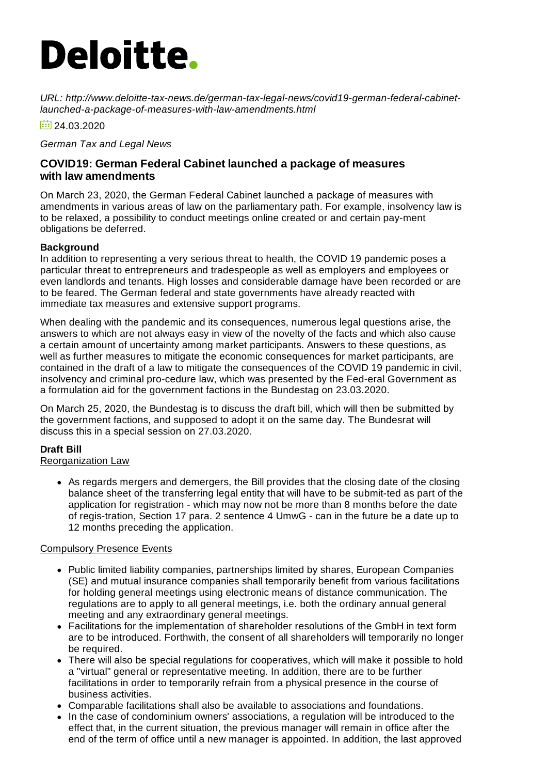# **Deloitte.**

*URL: http://www.deloitte-tax-news.de/german-tax-legal-news/covid19-german-federal-cabinetlaunched-a-package-of-measures-with-law-amendments.html*

 $\frac{1}{24}$  24.03.2020

*German Tax and Legal News*

# **COVID19: German Federal Cabinet launched a package of measures with law amendments**

On March 23, 2020, the German Federal Cabinet launched a package of measures with amendments in various areas of law on the parliamentary path. For example, insolvency law is to be relaxed, a possibility to conduct meetings online created or and certain pay-ment obligations be deferred.

## **Background**

In addition to representing a very serious threat to health, the COVID 19 pandemic poses a particular threat to entrepreneurs and tradespeople as well as employers and employees or even landlords and tenants. High losses and considerable damage have been recorded or are to be feared. The German federal and state governments have already reacted with immediate tax measures and extensive support programs.

When dealing with the pandemic and its consequences, numerous legal questions arise, the answers to which are not always easy in view of the novelty of the facts and which also cause a certain amount of uncertainty among market participants. Answers to these questions, as well as further measures to mitigate the economic consequences for market participants, are contained in the draft of a law to mitigate the consequences of the COVID 19 pandemic in civil, insolvency and criminal pro-cedure law, which was presented by the Fed-eral Government as a formulation aid for the government factions in the Bundestag on 23.03.2020.

On March 25, 2020, the Bundestag is to discuss the draft bill, which will then be submitted by the government factions, and supposed to adopt it on the same day. The Bundesrat will discuss this in a special session on 27.03.2020.

## **Draft Bill**

Reorganization Law

As regards mergers and demergers, the Bill provides that the closing date of the closing balance sheet of the transferring legal entity that will have to be submit-ted as part of the application for registration - which may now not be more than 8 months before the date of regis-tration, Section 17 para. 2 sentence 4 UmwG - can in the future be a date up to 12 months preceding the application.

## Compulsory Presence Events

- Public limited liability companies, partnerships limited by shares, European Companies (SE) and mutual insurance companies shall temporarily benefit from various facilitations for holding general meetings using electronic means of distance communication. The regulations are to apply to all general meetings, i.e. both the ordinary annual general meeting and any extraordinary general meetings.
- Facilitations for the implementation of shareholder resolutions of the GmbH in text form are to be introduced. Forthwith, the consent of all shareholders will temporarily no longer be required.
- There will also be special regulations for cooperatives, which will make it possible to hold a "virtual" general or representative meeting. In addition, there are to be further facilitations in order to temporarily refrain from a physical presence in the course of business activities.
- Comparable facilitations shall also be available to associations and foundations.
- In the case of condominium owners' associations, a regulation will be introduced to the effect that, in the current situation, the previous manager will remain in office after the end of the term of office until a new manager is appointed. In addition, the last approved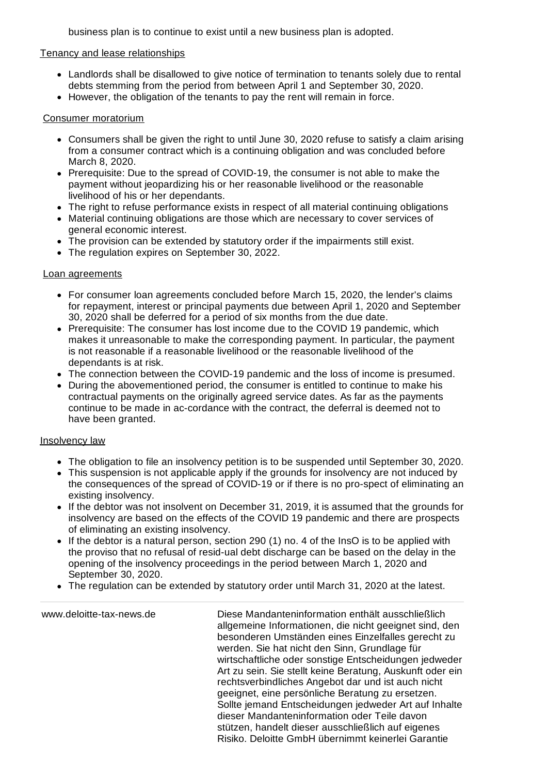business plan is to continue to exist until a new business plan is adopted.

### Tenancy and lease relationships

- Landlords shall be disallowed to give notice of termination to tenants solely due to rental debts stemming from the period from between April 1 and September 30, 2020.
- However, the obligation of the tenants to pay the rent will remain in force.

### Consumer moratorium

- Consumers shall be given the right to until June 30, 2020 refuse to satisfy a claim arising from a consumer contract which is a continuing obligation and was concluded before March 8, 2020.
- Prerequisite: Due to the spread of COVID-19, the consumer is not able to make the payment without jeopardizing his or her reasonable livelihood or the reasonable livelihood of his or her dependants.
- The right to refuse performance exists in respect of all material continuing obligations
- Material continuing obligations are those which are necessary to cover services of general economic interest.
- The provision can be extended by statutory order if the impairments still exist.
- The regulation expires on September 30, 2022.

#### Loan agreements

- For consumer loan agreements concluded before March 15, 2020, the lender's claims for repayment, interest or principal payments due between April 1, 2020 and September 30, 2020 shall be deferred for a period of six months from the due date.
- Prerequisite: The consumer has lost income due to the COVID 19 pandemic, which makes it unreasonable to make the corresponding payment. In particular, the payment is not reasonable if a reasonable livelihood or the reasonable livelihood of the dependants is at risk.
- The connection between the COVID-19 pandemic and the loss of income is presumed.
- During the abovementioned period, the consumer is entitled to continue to make his contractual payments on the originally agreed service dates. As far as the payments continue to be made in ac-cordance with the contract, the deferral is deemed not to have been granted.

#### Insolvency law

- The obligation to file an insolvency petition is to be suspended until September 30, 2020.
- This suspension is not applicable apply if the grounds for insolvency are not induced by the consequences of the spread of COVID-19 or if there is no pro-spect of eliminating an existing insolvency.
- If the debtor was not insolvent on December 31, 2019, it is assumed that the grounds for insolvency are based on the effects of the COVID 19 pandemic and there are prospects of eliminating an existing insolvency.
- $\bullet$  If the debtor is a natural person, section 290 (1) no. 4 of the InsO is to be applied with the proviso that no refusal of resid-ual debt discharge can be based on the delay in the opening of the insolvency proceedings in the period between March 1, 2020 and September 30, 2020.
- The regulation can be extended by statutory order until March 31, 2020 at the latest.

www.deloitte-tax-news.de Diese Mandanteninformation enthält ausschließlich allgemeine Informationen, die nicht geeignet sind, den besonderen Umständen eines Einzelfalles gerecht zu werden. Sie hat nicht den Sinn, Grundlage für wirtschaftliche oder sonstige Entscheidungen jedweder Art zu sein. Sie stellt keine Beratung, Auskunft oder ein rechtsverbindliches Angebot dar und ist auch nicht geeignet, eine persönliche Beratung zu ersetzen. Sollte jemand Entscheidungen jedweder Art auf Inhalte dieser Mandanteninformation oder Teile davon stützen, handelt dieser ausschließlich auf eigenes Risiko. Deloitte GmbH übernimmt keinerlei Garantie